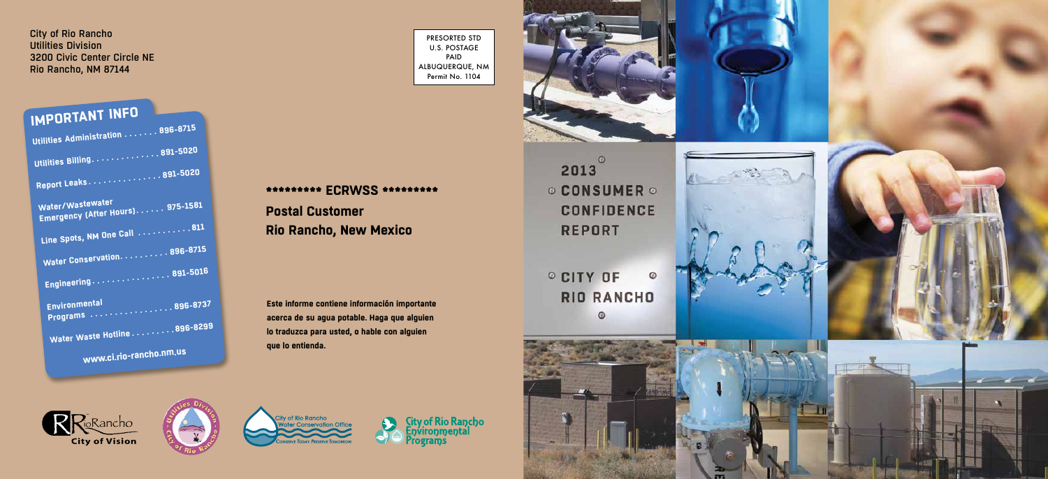City of Rio Rancho Utilities Division 3200 Civic Center Circle NE Rio Rancho, NM 87144

PRESORTED STD U.S. POSTAGE PAID ALBUQUERQUE, NM Permit No. 1104

### **Este informe contiene información importante acerca de su agua potable. Haga que alguien lo traduzca para usted, o hable con alguien que lo entienda.**



2013 **REPORT** 

**RIO RANCHO**  $\odot$ 













#### **\*\*\*\*\*\*\*\*\* ECRWSS \*\*\*\*\*\*\*\*\***

**Postal Customer Rio Rancho, New Mexico**

## **IMPORTANT INFO**

| Utilities Administration $\dots \dots$ 896-8715           |  |
|-----------------------------------------------------------|--|
| <b>Utilities Billing891-5020</b>                          |  |
|                                                           |  |
| Report Leaks891-5020                                      |  |
| Water/Wastewater<br>Emergency (After Hours) 975-1581      |  |
| Line Spots, NM One Call 811                               |  |
|                                                           |  |
| Water Conservation. 896-8715                              |  |
| Engineering $\ldots \ldots \ldots \ldots \ldots$ 891-5016 |  |
| Environmental<br>Programs 896-8737                        |  |
| Water Waste Hotline 896-8299                              |  |
| www.ci.rio-rancho.nm.us                                   |  |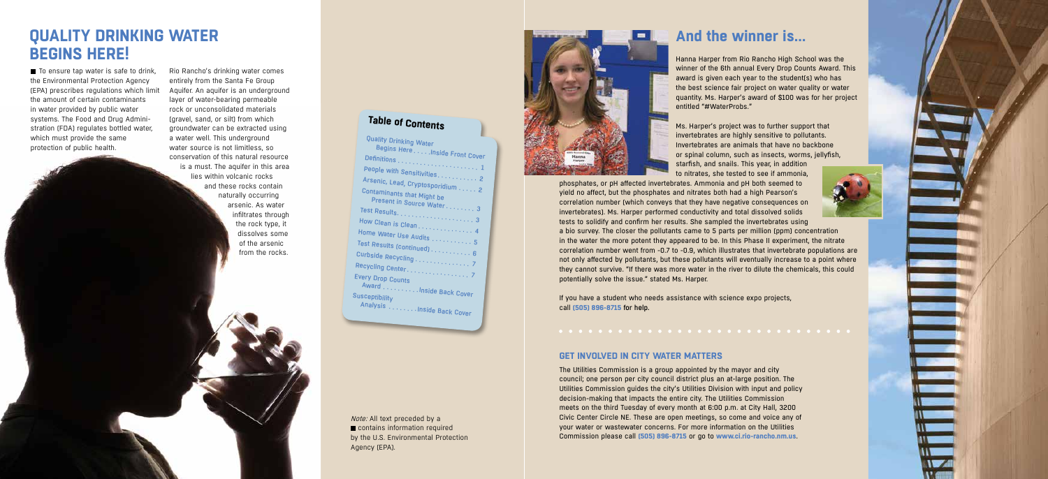$\blacksquare$  To ensure tap water is safe to drink, the Environmental Protection Agency (EPA) prescribes regulations which limit the amount of certain contaminants in water provided by public water systems. The Food and Drug Administration (FDA) regulates bottled water, which must provide the same protection of public health.

> Note: All text preceded by a ■ contains information required by the U.S. Environmental Protection Agency (EPA).





### **And the winner is…**

Hanna Harper from Rio Rancho High School was the winner of the 6th annual Every Drop Counts Award. This award is given each year to the student(s) who has the best science fair project on water quality or water quantity. Ms. Harper's award of \$100 was for her project entitled "#WaterProbs."

Ms. Harper's project was to further support that invertebrates are highly sensitive to pollutants. Invertebrates are animals that have no backbone or spinal column, such as insects, worms, jellyfish, starfish, and snails. This year, in addition to nitrates, she tested to see if ammonia,

phosphates, or pH affected invertebrates. Ammonia and pH both seemed to yield no affect, but the phosphates and nitrates both had a high Pearson's correlation number (which conveys that they have negative consequences on invertebrates). Ms. Harper performed conductivity and total dissolved solids tests to solidify and confirm her results. She sampled the invertebrates using a bio survey. The closer the pollutants came to 5 parts per million (ppm) concentration in the water the more potent they appeared to be. In this Phase II experiment, the nitrate correlation number went from -0.7 to -0.9, which illustrates that invertebrate populations are not only affected by pollutants, but these pollutants will eventually increase to a point where they cannot survive. "If there was more water in the river to dilute the chemicals, this could potentially solve the issue." stated Ms. Harper.

If you have a student who needs assistance with science expo projects, call **(505) 896-8715** for help.

Rio Rancho's drinking water comes entirely from the Santa Fe Group Aquifer. An aquifer is an underground layer of water-bearing permeable rock or unconsolidated materials (gravel, sand, or silt) from which groundwater can be extracted using a water well. This underground water source is not limitless, so conservation of this natural resource is a must. The aquifer in this area lies within volcanic rocks and these rocks contain naturally occurring arsenic. As water infiltrates through the rock type, it dissolves some of the arsenic from the rocks.

### **QUALITY DRINKING WATER BEGINS HERE!**

#### **GET INVOLVED IN CITY WATER MATTERS**

The Utilities Commission is a group appointed by the mayor and city council; one person per city council district plus an at-large position. The Utilities Commission guides the city's Utilities Division with input and policy decision-making that impacts the entire city. The Utilities Commission meets on the third Tuesday of every month at 6:00 p.m. at City Hall, 3200 Civic Center Circle NE. These are open meetings, so come and voice any of your water or wastewater concerns. For more information on the Utilities Commission please call **(505) 896-8715** or go to **www.ci.rio-rancho.nm.us**.

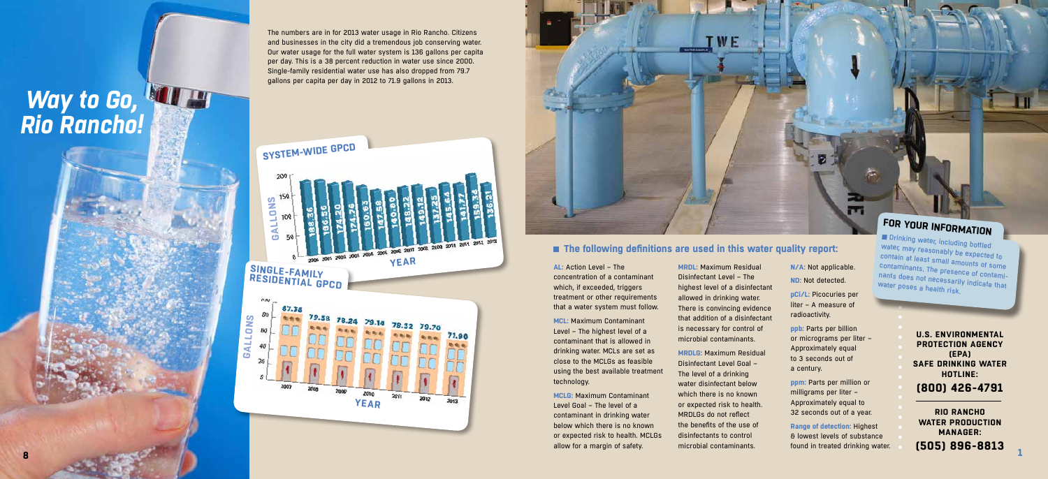**MRDL:** Maximum Residual Disinfectant Level – The highest level of a disinfectant allowed in drinking water. There is convincing evidence that addition of a disinfectant is necessary for control of microbial contaminants.

**MRDLG:** Maximum Residual Disinfectant Level Goal – The level of a drinking water disinfectant below which there is no known or expected risk to health. MRDLGs do not reflect the benefits of the use of disinfectants to control microbial contaminants.

**AL:** Action Level – The concentration of a contaminant which, if exceeded, triggers treatment or other requirements that a water system must follow.

**MCL:** Maximum Contaminant Level – The highest level of a contaminant that is allowed in drinking water. MCLs are set as close to the MCLGs as feasible using the best available treatment technology.

**MCLG:** Maximum Contaminant Level Goal – The level of a contaminant in drinking water below which there is no known or expected risk to health. MCLGs allow for a margin of safety.

#### **The following definitions are used in this water quality report:**

**N/A:** Not applicable. **ND:** Not detected. **pCi/L:** Picocuries per

m

liter – A measure of radioactivity.

Drinking water, including bottled water, may reasonably be expected to contain at least small amounts of some contaminants. The presence of contami nants does not necessarily indicate that water poses a health risk.

**ppb:** Parts per billion or micrograms per liter – Approximately equal to 3 seconds out of a century.

**ppm:** Parts per million or milligrams per liter – Approximately equal to 32 seconds out of a year.

**Range of detection:** Highest & lowest levels of substance found in treated drinking water.

**U.S. ENVIRONMENTAL PROTECTION AGENCY (EPA) SAFE DRINKING WATER HOTLINE:**

**(800) 426-4791**

**RIO RANCHO WATER PRODUCTION MANAGER: (505) 896-8813 <sup>1</sup>**

The numbers are in for 2013 water usage in Rio Rancho. Citizens and businesses in the city did a tremendous job conserving water. Our water usage for the full water system is 136 gallons per capita per day. This is a 38 percent reduction in water use since 2000. Single-family residential water use has also dropped from 79.7 gallons per capita per day in 2012 to 71.9 gallons in 2013.

# *Way to Go, Rio Rancho!*







## **FOR YOUR INFORMATION**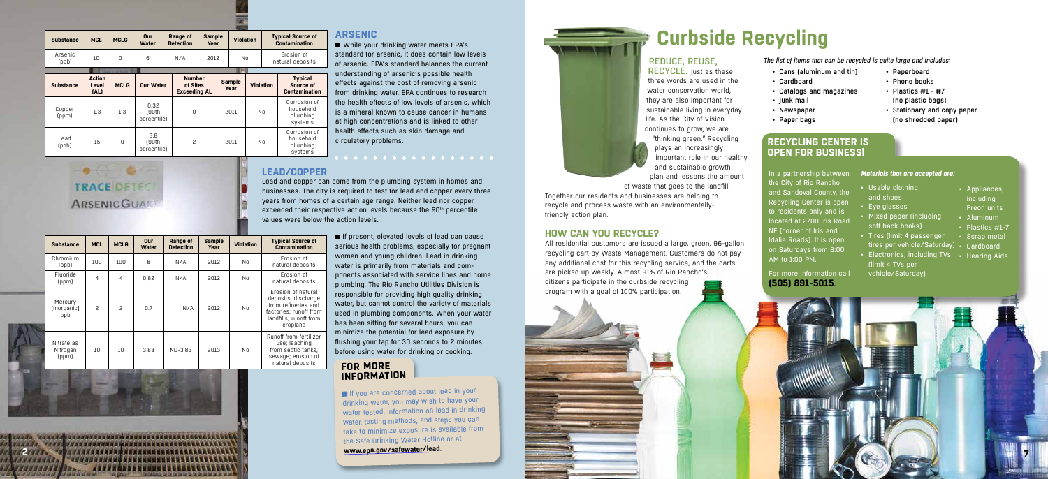**2**

#### **LEAD/COPPER**

Lead and copper can come from the plumbing system in homes and businesses. The city is required to test for lead and copper every three years from homes of a certain age range. Neither lead nor copper exceeded their respective action levels because the 90<sup>th</sup> percentile values were below the action levels.

> If present, elevated levels of lead can cause serious health problems, especially for pregnant women and young children. Lead in drinking water is primarily from materials and components associated with service lines and home plumbing. The Rio Rancho Utilities Division is responsible for providing high quality drinking water, but cannot control the variety of materials used in plumbing components. When your water has been sitting for several hours, you can minimize the potential for lead exposure by flushing your tap for 30 seconds to 2 minutes before using water for drinking or cooking.

While your drinking water meets EPA's standard for arsenic, it does contain low levels of arsenic. EPA's standard balances the current understanding of arsenic's possible health effects against the cost of removing arsenic from drinking water. EPA continues to research the health effects of low levels of arsenic, which is a mineral known to cause cancer in humans at high concentrations and is linked to other health effects such as skin damage and circulatory problems.

#### REDUCE, REUSE, RECYCLE. Just as these

#### **ARSENIC**

*The list of items that can be recycled is quite large and includes:*

- Cans (aluminum and tin)
- Cardboard
- Catalogs and magazines
- Junk mail
- Newspaper
- Paper bags

three words are used in the water conservation world, they are also important for sustainable living in everyday life. As the City of Vision continues to grow, we are "thinking green." Recycling plays an increasingly important role in our healthy and sustainable growth plan and lessens the amount of waste that goes to the landfill.

Together our residents and businesses are helping to recycle and process waste with an environmentallyfriendly action plan.

#### **HOW CAN YOU RECYCLE?**

If you are concerned about lead in your drinking water, you may wish to have your water tested. Information on lead in drinking water, testing methods, and steps you can take to minimize exposure is available from the Safe Drinking Water Hotline or at

All residential customers are issued a large, green, 96-gallon recycling cart by Waste Management. Customers do not pay any additional cost for this recycling service, and the carts are picked up weekly. Almost 91% of Rio Rancho's citizens participate in the curbside recycling program with a goal of 100% participation.

## **Curbside Recycling**



- Paperboard • Phone books • Plastics #1 - #7
- (no plastic bags)
- Stationary and copy paper (no shredded paper)
- *Materials that are accepted are:*
- Usable clothing and shoes
- Eye glasses
- Mixed paper (including soft back books)
- Tires (limit 4 passenger tires per vehicle/Saturday) • Cardboard
- Electronics, including TVs Hearing Aids (limit 4 TVs per vehicle/Saturday)
- Appliances, including Freon units
- Aluminum
- Plastics #1-7
- Scrap metal
- -

| <b>Substance</b>                | <b>MCL</b><br><b>MCLG</b> |                  | Our<br><b>Water</b> | Range of<br><b>Detection</b> | <b>Sample</b><br>Year | <b>Violation</b> | <b>Typical Source of</b><br><b>Contamination</b>                                                                                 |
|---------------------------------|---------------------------|------------------|---------------------|------------------------------|-----------------------|------------------|----------------------------------------------------------------------------------------------------------------------------------|
| Chromium<br>(ppb)               | 100                       | 100 <sub>1</sub> | 8                   | N/A                          | 2012                  | No               | Erosion of<br>natural deposits                                                                                                   |
| Fluoride<br>(ppm)               | 4                         | 4                | 0.82                | N/A                          | 2012                  | No               | Erosion of<br>natural deposits                                                                                                   |
| Mercury<br>[Inorganic]<br>ppb   | 2                         | $\mathcal{P}$    | 0.7                 | N/A                          | 2012                  | No               | Erosion of natural<br>deposits; discharge<br>from refineries and<br>factories; runoff from<br>landfills: runoff from<br>cropland |
| Nitrate as<br>Nitrogen<br>(ppm) | 10                        | 10               | 3.83                | $ND-3.83$                    | 2013                  | No               | Runoff from fertilizer<br>use; leaching<br>from septic tanks,<br>sewage; erosion of<br>natural deposits                          |

| <b>Substance</b> | <b>MCL</b>                     | <b>MCLG</b> | Our<br><b>Water</b>          | Range of<br><b>Detection</b> | <b>Sample</b><br>Year                            |      | <b>Violation</b> |                                | <b>Typical Source of</b><br><b>Contamination</b>    |  |
|------------------|--------------------------------|-------------|------------------------------|------------------------------|--------------------------------------------------|------|------------------|--------------------------------|-----------------------------------------------------|--|
| Arsenic<br>(ppb) | 10                             | 0           | 6                            | N/A                          |                                                  | 2012 | No               | Erosion of<br>natural deposits |                                                     |  |
|                  |                                |             |                              |                              |                                                  |      |                  |                                |                                                     |  |
| <b>Substance</b> | <b>Action</b><br>Level<br>[AL] | <b>MCLG</b> | <b>Our Water</b>             |                              | <b>Number</b><br>of Sites<br><b>Exceeding AL</b> |      | <b>Sample</b>    | <b>Violation</b>               | <b>Typical</b><br>Source of<br><b>Contamination</b> |  |
| Copper<br>(ppm)  | 1.3                            | 1.3         | 0.32<br>r90th<br>percentile) | 0                            |                                                  | 2011 |                  | No                             | Corrosion of<br>household<br>plumbing<br>systems    |  |
| Lead<br>(ppb)    | 15                             | $\Omega$    | 3.8<br>(90th<br>percentile)  | $\overline{c}$               |                                                  | 2011 |                  | No                             | Corrosion of<br>household<br>plumbing<br>systems    |  |

### $-0.0000000000$ **TRACE DETEC ARSENICGUAR**

#### **RECYCLING CENTER IS OPEN FOR BUSINESS!**

In a partnership between the City of Rio Rancho and Sandoval County, the Recycling Center is open to residents only and is located at 2700 Iris Road NE (corner of Iris and Idalia Roads). It is open on Saturdays from 8:00 AM to 1:00 PM.

#### For more information call **(505) 891-5015.**

**www.epa.gov/safewater/lead.**

#### **FOR MORE INFORMATION**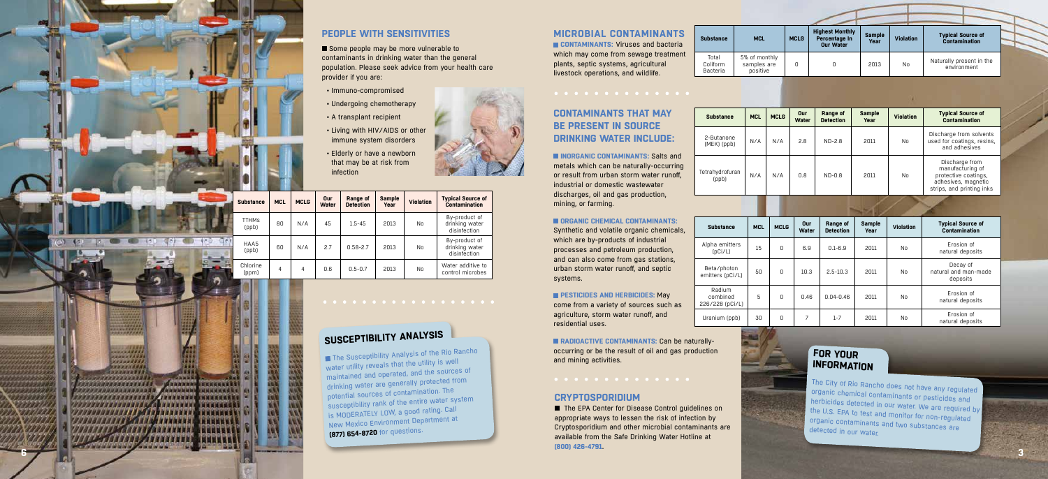#### **MICROBIAL CONTAMINANTS**

**CONTAMINANTS: Viruses and bacteria** which may come from sewage treatment plants, septic systems, agricultural livestock operations, and wildlife.

**CONTAMINANTS THAT MAY BE PRESENT IN SOURCE DRINKING WATER INCLUDE:**

metals which can be naturally-occurring or result from urban storm water runoff, industrial or domestic wastewater discharges, oil and gas production, mining, or farming.

**INORGANIC CONTAMINANTS: Salts and** 

**PESTICIDES AND HERBICIDES: May** come from a variety of sources such as agriculture, storm water runoff, and residential uses.

#### **ORGANIC CHEMICAL CONTAMINANTS:**

**RADIOACTIVE CONTAMINANTS: Can be naturally**occurring or be the result of oil and gas production and mining activities.

Some people may be more vulnerable to contaminants in drinking water than the general population. Please seek advice from your health care provider if you are:

> Synthetic and volatile organic chemicals, which are by-products of industrial processes and petroleum production, and can also come from gas stations, urban storm water runoff, and septic systems.

#### Total Coliform Bacteria  $5%$ sar

 $Substance$ 

### $Substance$ 2-Butanone  $(MEK)$  (ppb)

Alpha emitters  $(pCi/L)$ 

Beta/photon emitters (pCi/L)

226/228 (pCi/L) Uranium (ppb)

 $Substance$ 



#### **PEOPLE WITH SENSITIVITIES**

- Immuno-compromised
- Undergoing chemotherapy
- A transplant recipient
- Living with HIV/AIDS or other immune system disorders
- Elderly or have a newborn that may be at risk from infection



■ The EPA Center for Disease Control guidelines on appropriate ways to lessen the risk of infection by Cryptosporidium and other microbial contaminants are available from the Safe Drinking Water Hotline at **(800) 426-4791** .

| . .<br><b>ALL EARLESTS</b><br><b>.</b><br><b>ALLAND PROPERTY</b><br><b></b><br><b>AUGUST 13724</b><br><b><i><u><u> BARAMERRAL</u></u></i></b><br><b><i><u> CONTRACTORY</u></i></b><br><b>************</b><br><b>ANNUL 233223</b> | <b>MARINA</b><br>19886<br>14444<br>120.00<br><b>A 4 5 6 7</b><br><br>12636<br><b>AT AT</b><br>त हाल<br><b>TT</b> | ٠<br>m.<br>64<br><b>COLORADO</b><br>64<br><b>Alliance</b><br>m.<br><b>All Group of</b><br>٠<br>64<br><b>N.M.A.</b><br><b>BOW</b><br>.,<br><b>NINE ALL</b><br>ik i<br>×<br><b>TIM</b><br>▄<br>ab.<br><b>Allena</b><br><b>SALE</b><br>m.<br>. .<br>- 1<br>m.<br><b>STA</b> |
|----------------------------------------------------------------------------------------------------------------------------------------------------------------------------------------------------------------------------------|------------------------------------------------------------------------------------------------------------------|--------------------------------------------------------------------------------------------------------------------------------------------------------------------------------------------------------------------------------------------------------------------------|
| **********<br><b><i><b>BBMMWWWWW</b></i></b><br><b>AND AN AVE</b><br>,,,,,,,,,<br><b><i><b>BADDA</b></i></b>                                                                                                                     |                                                                                                                  |                                                                                                                                                                                                                                                                          |
|                                                                                                                                                                                                                                  |                                                                                                                  | $\bullet$<br>۰                                                                                                                                                                                                                                                           |
|                                                                                                                                                                                                                                  |                                                                                                                  |                                                                                                                                                                                                                                                                          |

**GENER** 

| <b>MCL</b>                          | <b>MCLG</b> | <b>Highest Monthly</b><br>Percentage In<br><b>Our Water</b> | <b>Sample</b><br>Year | <b>Violation</b> | <b>Typical Source of</b><br><b>Contamination</b> |  |  |  |  |  |  |  |
|-------------------------------------|-------------|-------------------------------------------------------------|-----------------------|------------------|--------------------------------------------------|--|--|--|--|--|--|--|
| of monthly<br>mples are<br>positive | Ο           |                                                             | 2013                  | N <sub>0</sub>   | Naturally present in the<br>environment          |  |  |  |  |  |  |  |

| <b>MCL</b> | <b>MCLG</b> | Our<br>Water | Range of<br><b>Detection</b> | <b>Sample</b><br>Year | <b>Violation</b> | <b>Typical Source of</b><br><b>Contamination</b> |
|------------|-------------|--------------|------------------------------|-----------------------|------------------|--------------------------------------------------|
| 15         | 0           | 6.9          | $0.1 - 6.9$                  | 2011                  | No               | Erosion of<br>natural deposits                   |
| 50         | 0           | 10.3         | $2.5 - 10.3$                 | 2011                  | N <sub>0</sub>   | Decay of<br>natural and man-made<br>deposits     |
| 5          | 0           | 0.46         | $0.04 - 0.46$                | 2011                  | No               | Erosion of<br>natural deposits                   |
| 30         | 0           | 7            | $1 - 7$                      | 2011                  | No               | Erosion of<br>natural deposits                   |

The Susceptibility Analysis of the Rio Rancho water utility reveals that the utility is well maintained and operated, and the sources o<sup>f</sup> drinking water are generally protected from potential sources of contamination. The susceptibility rank of the entire water system is MODERATELY LOW, a good rating. Call New Mexico Environment Department at **(877) 654-8720** for questions.

Radium combined

| <b>Substance</b>          | <b>MCL</b> | <b>MCLG</b> | Our<br><b>Water</b> | Range of<br><b>Detection</b> | <b>Sample</b><br>Year | <b>Violation</b> | <b>Typical Source of</b><br><b>Contamination</b>                                                               |
|---------------------------|------------|-------------|---------------------|------------------------------|-----------------------|------------------|----------------------------------------------------------------------------------------------------------------|
| 2-Butanone<br>(MEK) (ppb) | N/A        | N/A         | 2.8                 | $ND-2.8$                     | 2011                  | No               | Discharge from solvents<br>used for coatings, resins,<br>and adhesives                                         |
| Tetrahydrofuran<br>(ppb)  | N/A        | N/A         | 0.8                 | $ND-0.8$                     | 2011                  | No               | Discharge from<br>manufacturing of<br>protective coatings,<br>adhesives, magnetic<br>strips, and printing inks |
|                           |            |             |                     |                              |                       |                  |                                                                                                                |

#### **CRYPTOSPORIDIUM**

**6**

|   | <b>Substance</b>      | <b>MCL</b> | <b>MCLG</b> | Our<br>Water | Range of<br><b>Detection</b> | <b>Sample</b><br>Year | <b>Violation</b> | <b>Typical Source of</b><br><b>Contamination</b> |
|---|-----------------------|------------|-------------|--------------|------------------------------|-----------------------|------------------|--------------------------------------------------|
|   | <b>TTHMS</b><br>(ppb) | 80         | N/A         | 45           | $1.5 - 45$                   | 2013                  | No               | By-product of<br>drinking water<br>disinfection  |
|   | HAA5<br>(ppb)         | 60         | N/A         | 2.7          | $0.58 - 2.7$                 | 2013                  | No               | By-product of<br>drinking water<br>disinfection  |
| ۵ | Chlorine<br>(ppm)     | 4          | 4           | 0.6          | $0.5 - 0.7$                  | 2013                  | No               | Water additive to<br>control microbes            |

#### **FOR YOUR INFORMATION**

The City of Rio Rancho does not have any regulated organic chemical contaminants or pesticides and herbicides detected in our water. We are required by the U.S. EPA to test and monitor for non-regulated organic contaminants and two substances are detected in our water.

### **SUSCEPTIBILITY ANALYSIS**